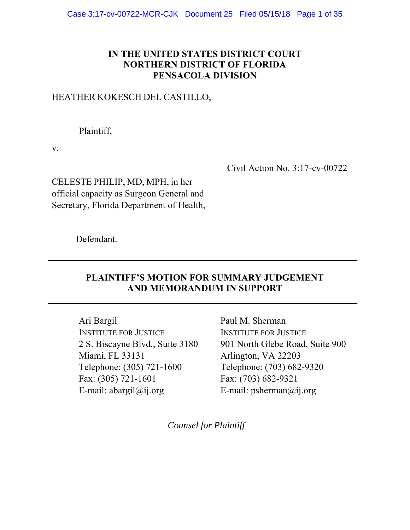## **IN THE UNITED STATES DISTRICT COURT NORTHERN DISTRICT OF FLORIDA PENSACOLA DIVISION**

## HEATHER KOKESCH DEL CASTILLO,

Plaintiff,

v.

Civil Action No. 3:17-cv-00722

CELESTE PHILIP, MD, MPH, in her official capacity as Surgeon General and Secretary, Florida Department of Health,

Defendant.

## **PLAINTIFF'S MOTION FOR SUMMARY JUDGEMENT AND MEMORANDUM IN SUPPORT**

**\_\_\_\_\_\_\_\_\_\_\_\_\_\_\_\_\_\_\_\_\_\_\_\_\_\_\_\_\_\_\_\_\_\_\_\_\_\_\_\_\_\_\_\_\_\_\_\_\_\_\_\_\_\_\_\_\_\_\_\_\_\_\_\_\_\_** 

**\_\_\_\_\_\_\_\_\_\_\_\_\_\_\_\_\_\_\_\_\_\_\_\_\_\_\_\_\_\_\_\_\_\_\_\_\_\_\_\_\_\_\_\_\_\_\_\_\_\_\_\_\_\_\_\_\_\_\_\_\_\_\_\_\_\_** 

Ari Bargil INSTITUTE FOR JUSTICE 2 S. Biscayne Blvd., Suite 3180 Miami, FL 33131 Telephone: (305) 721-1600 Fax: (305) 721-1601 E-mail:  $abargil(\omega i)$ , org

Paul M. Sherman INSTITUTE FOR JUSTICE 901 North Glebe Road, Suite 900 Arlington, VA 22203 Telephone: (703) 682-9320 Fax: (703) 682-9321 E-mail: psherman@ij.org

*Counsel for Plaintiff*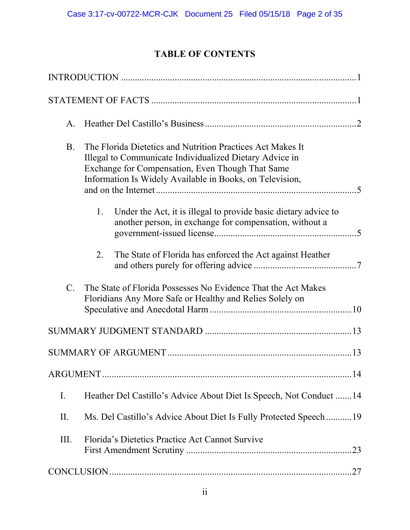# **TABLE OF CONTENTS**

| A.        |                                                                                                                                                                                                                                                         |  |  |
|-----------|---------------------------------------------------------------------------------------------------------------------------------------------------------------------------------------------------------------------------------------------------------|--|--|
| <b>B.</b> | The Florida Dietetics and Nutrition Practices Act Makes It<br>Illegal to Communicate Individualized Dietary Advice in<br>Exchange for Compensation, Even Though That Same<br>Information Is Widely Available in Books, on Television,<br>$\overline{5}$ |  |  |
|           | Under the Act, it is illegal to provide basic dietary advice to<br>1.<br>another person, in exchange for compensation, without a                                                                                                                        |  |  |
|           | The State of Florida has enforced the Act against Heather<br>2.                                                                                                                                                                                         |  |  |
| $C$ .     | The State of Florida Possesses No Evidence That the Act Makes<br>Floridians Any More Safe or Healthy and Relies Solely on                                                                                                                               |  |  |
|           |                                                                                                                                                                                                                                                         |  |  |
|           |                                                                                                                                                                                                                                                         |  |  |
|           |                                                                                                                                                                                                                                                         |  |  |
| Ι.        | Heather Del Castillo's Advice About Diet Is Speech, Not Conduct 14                                                                                                                                                                                      |  |  |
| II.       | Ms. Del Castillo's Advice About Diet Is Fully Protected Speech19                                                                                                                                                                                        |  |  |
| Ш.        | Florida's Dietetics Practice Act Cannot Survive                                                                                                                                                                                                         |  |  |
|           |                                                                                                                                                                                                                                                         |  |  |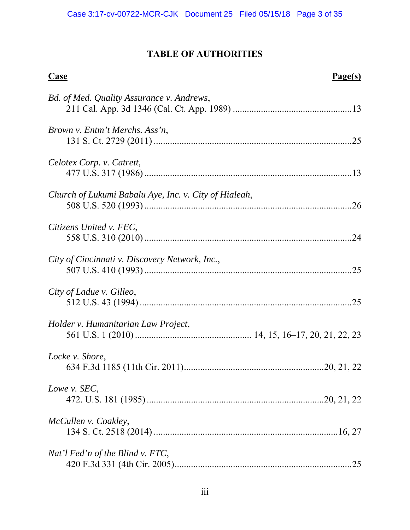# **TABLE OF AUTHORITIES**

| <b>Case</b>                                           | Page(s) |
|-------------------------------------------------------|---------|
| Bd. of Med. Quality Assurance v. Andrews,             |         |
| <i>Brown v. Entm't Merchs. Ass'n,</i>                 |         |
| Celotex Corp. v. Catrett,                             |         |
| Church of Lukumi Babalu Aye, Inc. v. City of Hialeah, |         |
| Citizens United v. FEC,                               |         |
| City of Cincinnati v. Discovery Network, Inc.,        |         |
| City of Ladue v. Gilleo,                              |         |
| Holder v. Humanitarian Law Project,                   |         |
| Locke v. Shore,                                       |         |
| Lowe v. SEC,                                          |         |
| McCullen v. Coakley,                                  |         |
| Nat'l Fed'n of the Blind v. FTC,                      | 25      |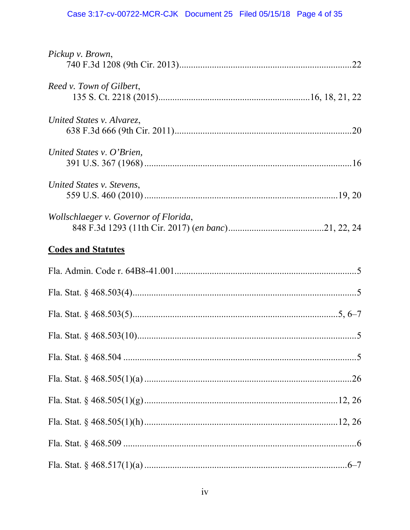| Pickup v. Brown,                      |
|---------------------------------------|
| Reed v. Town of Gilbert,              |
| United States v. Alvarez,             |
| United States v. O'Brien,             |
| United States v. Stevens,             |
| Wollschlaeger v. Governor of Florida, |
| <b>Codes and Statutes</b>             |
|                                       |
|                                       |
|                                       |
|                                       |
|                                       |
|                                       |
|                                       |
|                                       |
|                                       |
|                                       |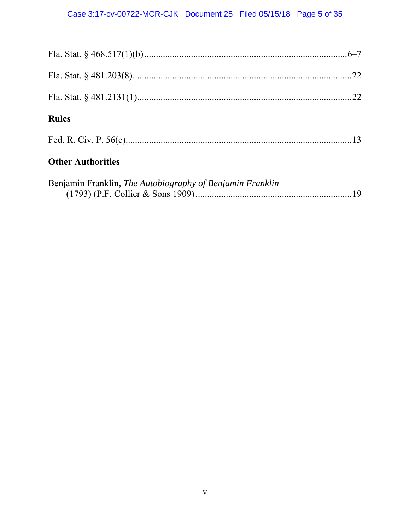| <b>Rules</b>                                              |  |
|-----------------------------------------------------------|--|
|                                                           |  |
| <b>Other Authorities</b>                                  |  |
| Benjamin Franklin, The Autobiography of Benjamin Franklin |  |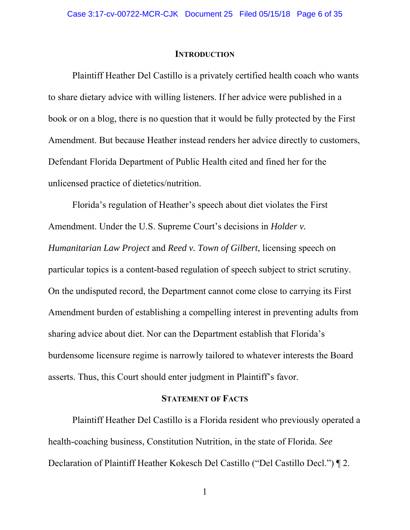#### **INTRODUCTION**

Plaintiff Heather Del Castillo is a privately certified health coach who wants to share dietary advice with willing listeners. If her advice were published in a book or on a blog, there is no question that it would be fully protected by the First Amendment. But because Heather instead renders her advice directly to customers, Defendant Florida Department of Public Health cited and fined her for the unlicensed practice of dietetics/nutrition.

Florida's regulation of Heather's speech about diet violates the First Amendment. Under the U.S. Supreme Court's decisions in *Holder v. Humanitarian Law Project* and *Reed v. Town of Gilbert*, licensing speech on particular topics is a content-based regulation of speech subject to strict scrutiny. On the undisputed record, the Department cannot come close to carrying its First Amendment burden of establishing a compelling interest in preventing adults from sharing advice about diet. Nor can the Department establish that Florida's burdensome licensure regime is narrowly tailored to whatever interests the Board asserts. Thus, this Court should enter judgment in Plaintiff's favor.

## **STATEMENT OF FACTS**

Plaintiff Heather Del Castillo is a Florida resident who previously operated a health-coaching business, Constitution Nutrition, in the state of Florida. *See*  Declaration of Plaintiff Heather Kokesch Del Castillo ("Del Castillo Decl.") ¶ 2.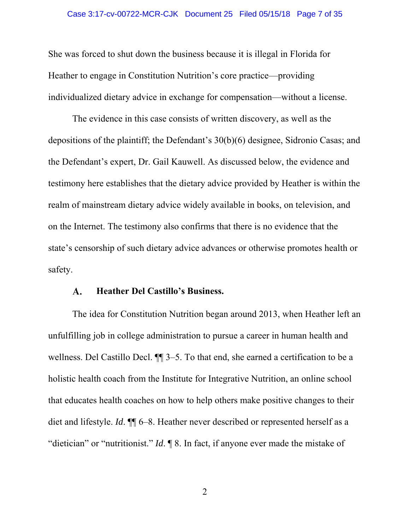She was forced to shut down the business because it is illegal in Florida for Heather to engage in Constitution Nutrition's core practice—providing individualized dietary advice in exchange for compensation—without a license.

The evidence in this case consists of written discovery, as well as the depositions of the plaintiff; the Defendant's 30(b)(6) designee, Sidronio Casas; and the Defendant's expert, Dr. Gail Kauwell. As discussed below, the evidence and testimony here establishes that the dietary advice provided by Heather is within the realm of mainstream dietary advice widely available in books, on television, and on the Internet. The testimony also confirms that there is no evidence that the state's censorship of such dietary advice advances or otherwise promotes health or safety.

#### $\mathbf{A}$ . **Heather Del Castillo's Business.**

The idea for Constitution Nutrition began around 2013, when Heather left an unfulfilling job in college administration to pursue a career in human health and wellness. Del Castillo Decl. ¶¶ 3–5. To that end, she earned a certification to be a holistic health coach from the Institute for Integrative Nutrition, an online school that educates health coaches on how to help others make positive changes to their diet and lifestyle. *Id*. ¶¶ 6–8. Heather never described or represented herself as a "dietician" or "nutritionist." *Id*. ¶ 8. In fact, if anyone ever made the mistake of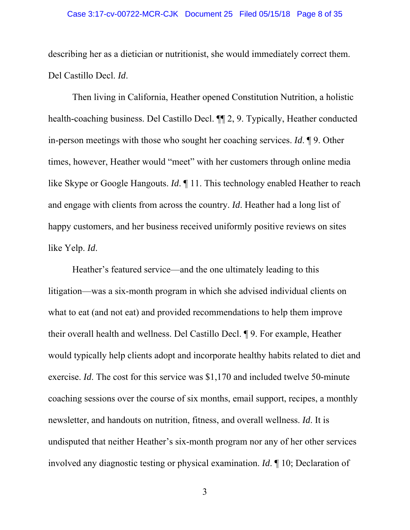#### Case 3:17-cv-00722-MCR-CJK Document 25 Filed 05/15/18 Page 8 of 35

describing her as a dietician or nutritionist, she would immediately correct them. Del Castillo Decl. *Id*.

Then living in California, Heather opened Constitution Nutrition, a holistic health-coaching business. Del Castillo Decl. ¶¶ 2, 9. Typically, Heather conducted in-person meetings with those who sought her coaching services. *Id*. ¶ 9. Other times, however, Heather would "meet" with her customers through online media like Skype or Google Hangouts. *Id*. ¶ 11. This technology enabled Heather to reach and engage with clients from across the country. *Id*. Heather had a long list of happy customers, and her business received uniformly positive reviews on sites like Yelp. *Id*.

Heather's featured service—and the one ultimately leading to this litigation—was a six-month program in which she advised individual clients on what to eat (and not eat) and provided recommendations to help them improve their overall health and wellness. Del Castillo Decl. ¶ 9. For example, Heather would typically help clients adopt and incorporate healthy habits related to diet and exercise. *Id*. The cost for this service was \$1,170 and included twelve 50-minute coaching sessions over the course of six months, email support, recipes, a monthly newsletter, and handouts on nutrition, fitness, and overall wellness. *Id*. It is undisputed that neither Heather's six-month program nor any of her other services involved any diagnostic testing or physical examination. *Id*. ¶ 10; Declaration of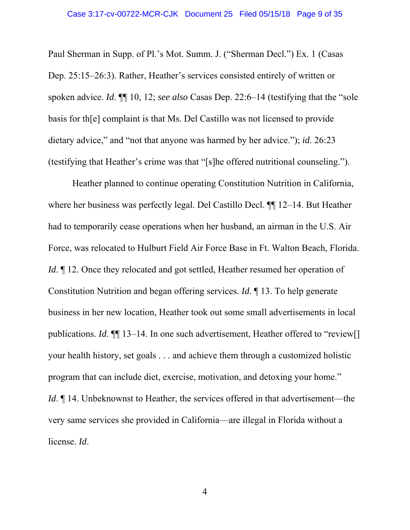Paul Sherman in Supp. of Pl.'s Mot. Summ. J. ("Sherman Decl.") Ex. 1 (Casas Dep. 25:15–26:3). Rather, Heather's services consisted entirely of written or spoken advice. *Id*. ¶¶ 10, 12; *see also* Casas Dep. 22:6–14 (testifying that the "sole basis for th[e] complaint is that Ms. Del Castillo was not licensed to provide dietary advice," and "not that anyone was harmed by her advice."); *id*. 26:23 (testifying that Heather's crime was that "[s]he offered nutritional counseling.").

 Heather planned to continue operating Constitution Nutrition in California, where her business was perfectly legal. Del Castillo Decl. ¶¶ 12–14. But Heather had to temporarily cease operations when her husband, an airman in the U.S. Air Force, was relocated to Hulburt Field Air Force Base in Ft. Walton Beach, Florida. *Id*. If 12. Once they relocated and got settled, Heather resumed her operation of Constitution Nutrition and began offering services. *Id*. ¶ 13. To help generate business in her new location, Heather took out some small advertisements in local publications. *Id*.  $\P$  13–14. In one such advertisement, Heather offered to "review[] your health history, set goals . . . and achieve them through a customized holistic program that can include diet, exercise, motivation, and detoxing your home." *Id*. ¶ 14. Unbeknownst to Heather, the services offered in that advertisement—the very same services she provided in California—are illegal in Florida without a license. *Id*.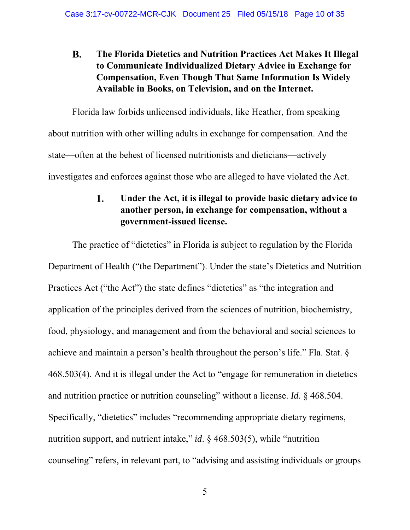### **B. The Florida Dietetics and Nutrition Practices Act Makes It Illegal to Communicate Individualized Dietary Advice in Exchange for Compensation, Even Though That Same Information Is Widely Available in Books, on Television, and on the Internet.**

Florida law forbids unlicensed individuals, like Heather, from speaking about nutrition with other willing adults in exchange for compensation. And the state—often at the behest of licensed nutritionists and dieticians—actively investigates and enforces against those who are alleged to have violated the Act.

#### 1. **Under the Act, it is illegal to provide basic dietary advice to another person, in exchange for compensation, without a government-issued license.**

The practice of "dietetics" in Florida is subject to regulation by the Florida Department of Health ("the Department"). Under the state's Dietetics and Nutrition Practices Act ("the Act") the state defines "dietetics" as "the integration and application of the principles derived from the sciences of nutrition, biochemistry, food, physiology, and management and from the behavioral and social sciences to achieve and maintain a person's health throughout the person's life." Fla. Stat. § 468.503(4). And it is illegal under the Act to "engage for remuneration in dietetics and nutrition practice or nutrition counseling" without a license. *Id*. § 468.504. Specifically, "dietetics" includes "recommending appropriate dietary regimens, nutrition support, and nutrient intake," *id*. § 468.503(5), while "nutrition counseling" refers, in relevant part, to "advising and assisting individuals or groups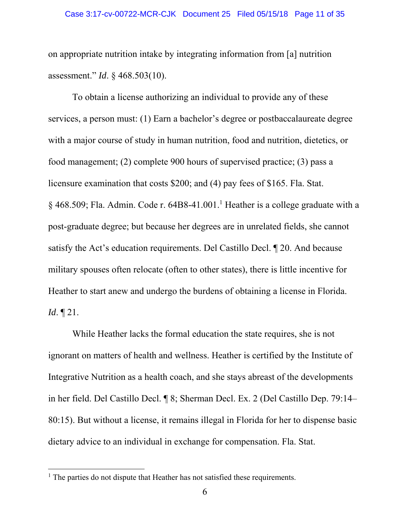on appropriate nutrition intake by integrating information from [a] nutrition assessment." *Id*. § 468.503(10).

To obtain a license authorizing an individual to provide any of these services, a person must: (1) Earn a bachelor's degree or postbaccalaureate degree with a major course of study in human nutrition, food and nutrition, dietetics, or food management; (2) complete 900 hours of supervised practice; (3) pass a licensure examination that costs \$200; and (4) pay fees of \$165. Fla. Stat. § 468.509; Fla. Admin. Code r. 64B8-41.001.<sup>1</sup> Heather is a college graduate with a post-graduate degree; but because her degrees are in unrelated fields, she cannot satisfy the Act's education requirements. Del Castillo Decl. ¶ 20. And because military spouses often relocate (often to other states), there is little incentive for Heather to start anew and undergo the burdens of obtaining a license in Florida. *Id*. ¶ 21.

While Heather lacks the formal education the state requires, she is not ignorant on matters of health and wellness. Heather is certified by the Institute of Integrative Nutrition as a health coach, and she stays abreast of the developments in her field. Del Castillo Decl. ¶ 8; Sherman Decl. Ex. 2 (Del Castillo Dep. 79:14– 80:15). But without a license, it remains illegal in Florida for her to dispense basic dietary advice to an individual in exchange for compensation. Fla. Stat.

<sup>&</sup>lt;sup>1</sup> The parties do not dispute that Heather has not satisfied these requirements.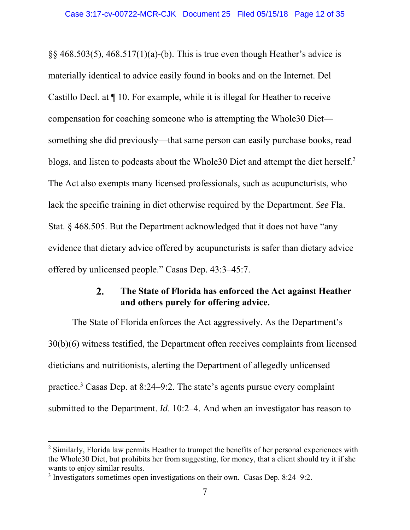$\S$ § 468.503(5), 468.517(1)(a)-(b). This is true even though Heather's advice is materially identical to advice easily found in books and on the Internet. Del Castillo Decl. at ¶ 10. For example, while it is illegal for Heather to receive compensation for coaching someone who is attempting the Whole30 Diet something she did previously—that same person can easily purchase books, read blogs, and listen to podcasts about the Whole30 Diet and attempt the diet herself.<sup>2</sup> The Act also exempts many licensed professionals, such as acupuncturists, who lack the specific training in diet otherwise required by the Department. *See* Fla. Stat. § 468.505. But the Department acknowledged that it does not have "any evidence that dietary advice offered by acupuncturists is safer than dietary advice offered by unlicensed people." Casas Dep. 43:3–45:7.

#### $\overline{2}$ . **The State of Florida has enforced the Act against Heather and others purely for offering advice.**

The State of Florida enforces the Act aggressively. As the Department's 30(b)(6) witness testified, the Department often receives complaints from licensed dieticians and nutritionists, alerting the Department of allegedly unlicensed practice.<sup>3</sup> Casas Dep. at 8:24–9:2. The state's agents pursue every complaint submitted to the Department. *Id*. 10:2–4. And when an investigator has reason to

 $2$  Similarly, Florida law permits Heather to trumpet the benefits of her personal experiences with the Whole30 Diet, but prohibits her from suggesting, for money, that a client should try it if she wants to enjoy similar results.

<sup>&</sup>lt;sup>3</sup> Investigators sometimes open investigations on their own. Casas Dep. 8:24–9:2.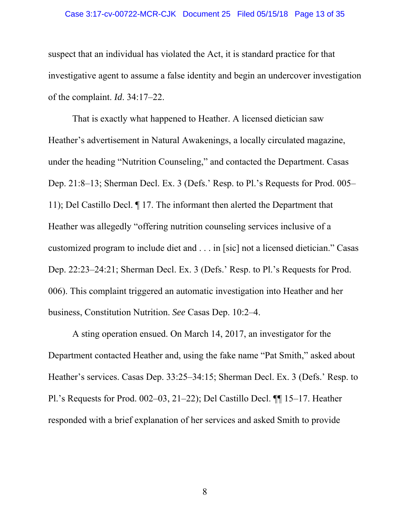#### Case 3:17-cv-00722-MCR-CJK Document 25 Filed 05/15/18 Page 13 of 35

suspect that an individual has violated the Act, it is standard practice for that investigative agent to assume a false identity and begin an undercover investigation of the complaint. *Id*. 34:17–22.

That is exactly what happened to Heather. A licensed dietician saw Heather's advertisement in Natural Awakenings, a locally circulated magazine, under the heading "Nutrition Counseling," and contacted the Department. Casas Dep. 21:8–13; Sherman Decl. Ex. 3 (Defs.' Resp. to Pl.'s Requests for Prod. 005– 11); Del Castillo Decl. ¶ 17. The informant then alerted the Department that Heather was allegedly "offering nutrition counseling services inclusive of a customized program to include diet and . . . in [sic] not a licensed dietician." Casas Dep. 22:23–24:21; Sherman Decl. Ex. 3 (Defs.' Resp. to Pl.'s Requests for Prod. 006). This complaint triggered an automatic investigation into Heather and her business, Constitution Nutrition. *See* Casas Dep. 10:2–4.

A sting operation ensued. On March 14, 2017, an investigator for the Department contacted Heather and, using the fake name "Pat Smith," asked about Heather's services. Casas Dep. 33:25–34:15; Sherman Decl. Ex. 3 (Defs.' Resp. to Pl.'s Requests for Prod. 002–03, 21–22); Del Castillo Decl. ¶¶ 15–17. Heather responded with a brief explanation of her services and asked Smith to provide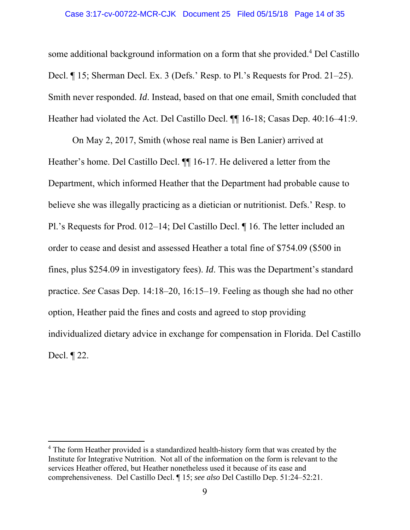some additional background information on a form that she provided.<sup>4</sup> Del Castillo Decl. ¶ 15; Sherman Decl. Ex. 3 (Defs.' Resp. to Pl.'s Requests for Prod. 21–25). Smith never responded. *Id*. Instead, based on that one email, Smith concluded that Heather had violated the Act. Del Castillo Decl. ¶¶ 16-18; Casas Dep. 40:16–41:9.

On May 2, 2017, Smith (whose real name is Ben Lanier) arrived at Heather's home. Del Castillo Decl. ¶¶ 16-17. He delivered a letter from the Department, which informed Heather that the Department had probable cause to believe she was illegally practicing as a dietician or nutritionist. Defs.' Resp. to Pl.'s Requests for Prod. 012–14; Del Castillo Decl. ¶ 16. The letter included an order to cease and desist and assessed Heather a total fine of \$754.09 (\$500 in fines, plus \$254.09 in investigatory fees). *Id*. This was the Department's standard practice. *See* Casas Dep. 14:18–20, 16:15–19. Feeling as though she had no other option, Heather paid the fines and costs and agreed to stop providing individualized dietary advice in exchange for compensation in Florida. Del Castillo Decl. ¶ 22.

<sup>&</sup>lt;sup>4</sup> The form Heather provided is a standardized health-history form that was created by the Institute for Integrative Nutrition. Not all of the information on the form is relevant to the services Heather offered, but Heather nonetheless used it because of its ease and comprehensiveness. Del Castillo Decl. ¶ 15; *see also* Del Castillo Dep. 51:24–52:21.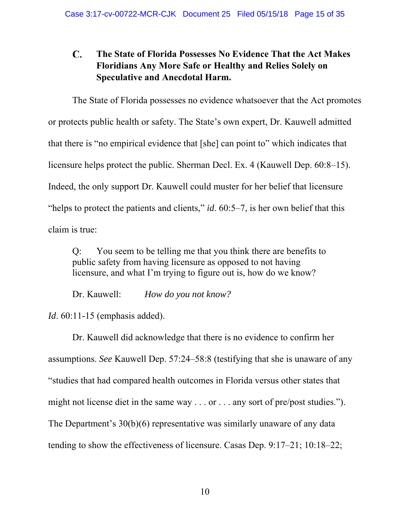#### C. **The State of Florida Possesses No Evidence That the Act Makes Floridians Any More Safe or Healthy and Relies Solely on Speculative and Anecdotal Harm.**

The State of Florida possesses no evidence whatsoever that the Act promotes or protects public health or safety. The State's own expert, Dr. Kauwell admitted that there is "no empirical evidence that [she] can point to" which indicates that licensure helps protect the public. Sherman Decl. Ex. 4 (Kauwell Dep. 60:8–15). Indeed, the only support Dr. Kauwell could muster for her belief that licensure "helps to protect the patients and clients," *id*. 60:5–7, is her own belief that this claim is true:

Q: You seem to be telling me that you think there are benefits to public safety from having licensure as opposed to not having licensure, and what I'm trying to figure out is, how do we know?

Dr. Kauwell: *How do you not know?*

*Id*. 60:11-15 (emphasis added).

Dr. Kauwell did acknowledge that there is no evidence to confirm her assumptions. *See* Kauwell Dep. 57:24–58:8 (testifying that she is unaware of any "studies that had compared health outcomes in Florida versus other states that might not license diet in the same way . . . or . . . any sort of pre/post studies."). The Department's 30(b)(6) representative was similarly unaware of any data tending to show the effectiveness of licensure. Casas Dep. 9:17–21; 10:18–22;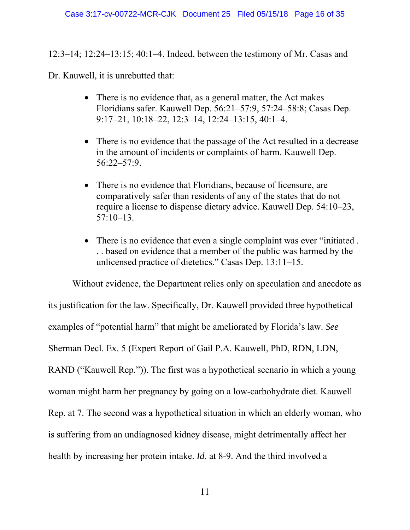12:3–14; 12:24–13:15; 40:1–4. Indeed, between the testimony of Mr. Casas and

Dr. Kauwell, it is unrebutted that:

- There is no evidence that, as a general matter, the Act makes Floridians safer. Kauwell Dep. 56:21–57:9, 57:24–58:8; Casas Dep. 9:17–21, 10:18–22, 12:3–14, 12:24–13:15, 40:1–4.
- There is no evidence that the passage of the Act resulted in a decrease in the amount of incidents or complaints of harm. Kauwell Dep. 56:22–57:9.
- There is no evidence that Floridians, because of licensure, are comparatively safer than residents of any of the states that do not require a license to dispense dietary advice. Kauwell Dep. 54:10–23, 57:10–13.
- There is no evidence that even a single complaint was ever "initiated. . . based on evidence that a member of the public was harmed by the unlicensed practice of dietetics." Casas Dep. 13:11–15.

Without evidence, the Department relies only on speculation and anecdote as its justification for the law. Specifically, Dr. Kauwell provided three hypothetical examples of "potential harm" that might be ameliorated by Florida's law. *See*  Sherman Decl. Ex. 5 (Expert Report of Gail P.A. Kauwell, PhD, RDN, LDN, RAND ("Kauwell Rep.")). The first was a hypothetical scenario in which a young woman might harm her pregnancy by going on a low-carbohydrate diet. Kauwell Rep. at 7. The second was a hypothetical situation in which an elderly woman, who is suffering from an undiagnosed kidney disease, might detrimentally affect her health by increasing her protein intake. *Id*. at 8-9. And the third involved a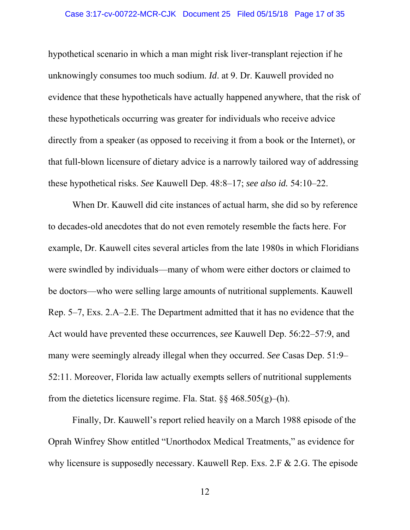hypothetical scenario in which a man might risk liver-transplant rejection if he unknowingly consumes too much sodium. *Id*. at 9. Dr. Kauwell provided no evidence that these hypotheticals have actually happened anywhere, that the risk of these hypotheticals occurring was greater for individuals who receive advice directly from a speaker (as opposed to receiving it from a book or the Internet), or that full-blown licensure of dietary advice is a narrowly tailored way of addressing these hypothetical risks. *See* Kauwell Dep. 48:8–17; *see also id.* 54:10–22.

When Dr. Kauwell did cite instances of actual harm, she did so by reference to decades-old anecdotes that do not even remotely resemble the facts here. For example, Dr. Kauwell cites several articles from the late 1980s in which Floridians were swindled by individuals—many of whom were either doctors or claimed to be doctors—who were selling large amounts of nutritional supplements. Kauwell Rep. 5–7, Exs. 2.A–2.E. The Department admitted that it has no evidence that the Act would have prevented these occurrences, *see* Kauwell Dep. 56:22–57:9, and many were seemingly already illegal when they occurred. *See* Casas Dep. 51:9– 52:11. Moreover, Florida law actually exempts sellers of nutritional supplements from the dietetics licensure regime. Fla. Stat.  $\S$ § 468.505(g)–(h).

Finally, Dr. Kauwell's report relied heavily on a March 1988 episode of the Oprah Winfrey Show entitled "Unorthodox Medical Treatments," as evidence for why licensure is supposedly necessary. Kauwell Rep. Exs. 2.F & 2.G. The episode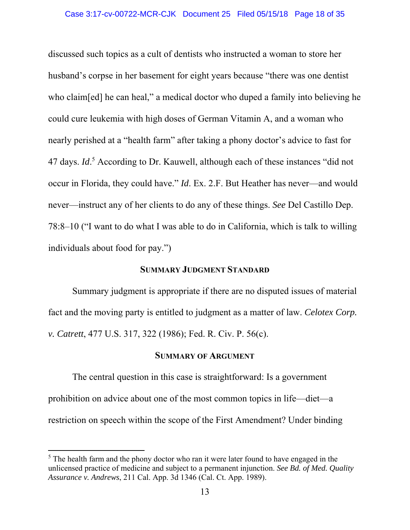discussed such topics as a cult of dentists who instructed a woman to store her husband's corpse in her basement for eight years because "there was one dentist who claim[ed] he can heal," a medical doctor who duped a family into believing he could cure leukemia with high doses of German Vitamin A, and a woman who nearly perished at a "health farm" after taking a phony doctor's advice to fast for 47 days. *Id*.<sup>5</sup> According to Dr. Kauwell, although each of these instances "did not occur in Florida, they could have." *Id*. Ex. 2.F. But Heather has never—and would never—instruct any of her clients to do any of these things. *See* Del Castillo Dep. 78:8–10 ("I want to do what I was able to do in California, which is talk to willing individuals about food for pay.")

## **SUMMARY JUDGMENT STANDARD**

Summary judgment is appropriate if there are no disputed issues of material fact and the moving party is entitled to judgment as a matter of law. *Celotex Corp. v. Catrett*, 477 U.S. 317, 322 (1986); Fed. R. Civ. P. 56(c).

### **SUMMARY OF ARGUMENT**

 The central question in this case is straightforward: Is a government prohibition on advice about one of the most common topics in life—diet—a restriction on speech within the scope of the First Amendment? Under binding

 $<sup>5</sup>$  The health farm and the phony doctor who ran it were later found to have engaged in the</sup> unlicensed practice of medicine and subject to a permanent injunction. *See Bd. of Med. Quality Assurance v. Andrews*, 211 Cal. App. 3d 1346 (Cal. Ct. App. 1989).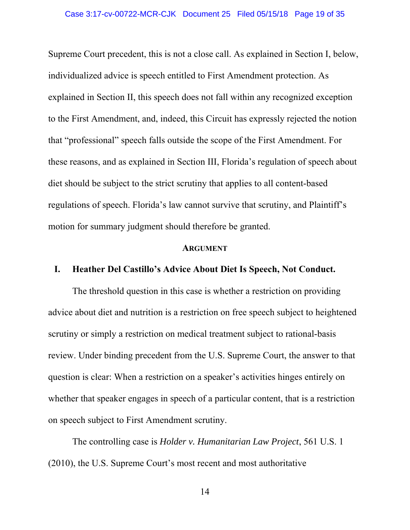Supreme Court precedent, this is not a close call. As explained in Section I, below, individualized advice is speech entitled to First Amendment protection. As explained in Section II, this speech does not fall within any recognized exception to the First Amendment, and, indeed, this Circuit has expressly rejected the notion that "professional" speech falls outside the scope of the First Amendment. For these reasons, and as explained in Section III, Florida's regulation of speech about diet should be subject to the strict scrutiny that applies to all content-based regulations of speech. Florida's law cannot survive that scrutiny, and Plaintiff's motion for summary judgment should therefore be granted.

#### **ARGUMENT**

## **I. Heather Del Castillo's Advice About Diet Is Speech, Not Conduct.**

The threshold question in this case is whether a restriction on providing advice about diet and nutrition is a restriction on free speech subject to heightened scrutiny or simply a restriction on medical treatment subject to rational-basis review. Under binding precedent from the U.S. Supreme Court, the answer to that question is clear: When a restriction on a speaker's activities hinges entirely on whether that speaker engages in speech of a particular content, that is a restriction on speech subject to First Amendment scrutiny.

The controlling case is *Holder v. Humanitarian Law Project*, 561 U.S. 1 (2010), the U.S. Supreme Court's most recent and most authoritative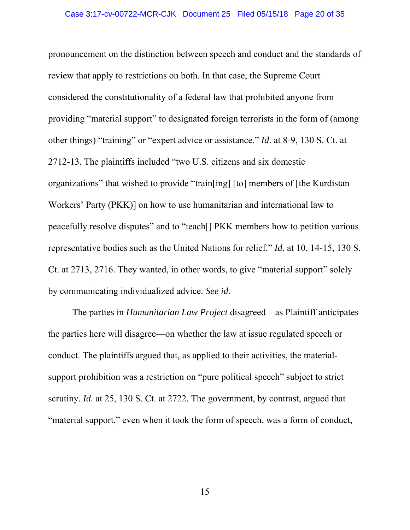pronouncement on the distinction between speech and conduct and the standards of review that apply to restrictions on both. In that case, the Supreme Court considered the constitutionality of a federal law that prohibited anyone from providing "material support" to designated foreign terrorists in the form of (among other things) "training" or "expert advice or assistance." *Id*. at 8-9, 130 S. Ct. at 2712-13. The plaintiffs included "two U.S. citizens and six domestic organizations" that wished to provide "train[ing] [to] members of [the Kurdistan Workers' Party (PKK)] on how to use humanitarian and international law to peacefully resolve disputes" and to "teach[] PKK members how to petition various representative bodies such as the United Nations for relief." *Id.* at 10, 14-15, 130 S. Ct. at 2713, 2716. They wanted, in other words, to give "material support" solely by communicating individualized advice. *See id.*

The parties in *Humanitarian Law Project* disagreed—as Plaintiff anticipates the parties here will disagree—on whether the law at issue regulated speech or conduct. The plaintiffs argued that, as applied to their activities, the materialsupport prohibition was a restriction on "pure political speech" subject to strict scrutiny. *Id.* at 25, 130 S. Ct. at 2722. The government, by contrast, argued that "material support," even when it took the form of speech, was a form of conduct,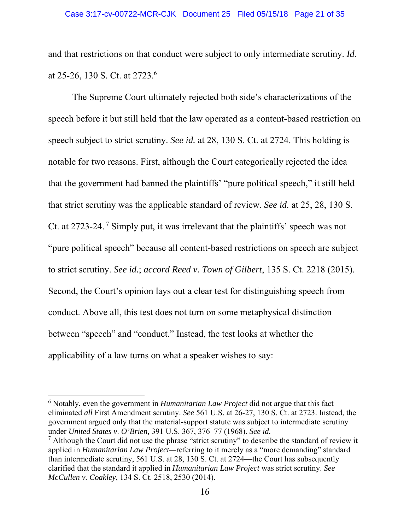and that restrictions on that conduct were subject to only intermediate scrutiny. *Id.* at 25-26, 130 S. Ct. at 2723.6

The Supreme Court ultimately rejected both side's characterizations of the speech before it but still held that the law operated as a content-based restriction on speech subject to strict scrutiny. *See id.* at 28, 130 S. Ct. at 2724. This holding is notable for two reasons. First, although the Court categorically rejected the idea that the government had banned the plaintiffs' "pure political speech," it still held that strict scrutiny was the applicable standard of review. *See id.* at 25, 28, 130 S. Ct. at 2723-24. 7 Simply put, it was irrelevant that the plaintiffs' speech was not "pure political speech" because all content-based restrictions on speech are subject to strict scrutiny. *See id.*; *accord Reed v. Town of Gilbert*, 135 S. Ct. 2218 (2015). Second, the Court's opinion lays out a clear test for distinguishing speech from conduct. Above all, this test does not turn on some metaphysical distinction between "speech" and "conduct." Instead, the test looks at whether the applicability of a law turns on what a speaker wishes to say:

<sup>6</sup> Notably, even the government in *Humanitarian Law Project* did not argue that this fact eliminated *all* First Amendment scrutiny. *See* 561 U.S. at 26-27, 130 S. Ct. at 2723. Instead, the government argued only that the material-support statute was subject to intermediate scrutiny under *United States v*. *O'Brien,* 391 U.S. 367, 376–77 (1968). *See id.*

 $<sup>7</sup>$  Although the Court did not use the phrase "strict scrutiny" to describe the standard of review it</sup> applied in *Humanitarian Law Project—*referring to it merely as a "more demanding" standard than intermediate scrutiny, 561 U.S. at 28, 130 S. Ct. at 2724—the Court has subsequently clarified that the standard it applied in *Humanitarian Law Project* was strict scrutiny. *See McCullen v. Coakley*, 134 S. Ct. 2518, 2530 (2014).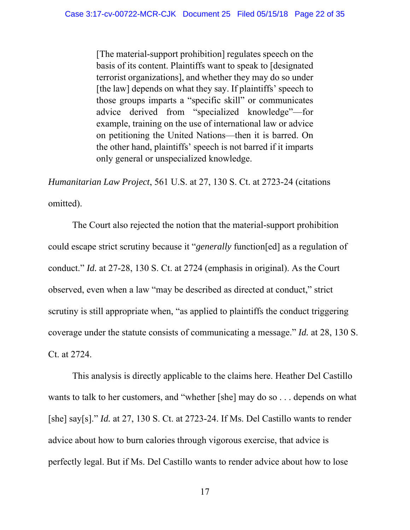[The material-support prohibition] regulates speech on the basis of its content. Plaintiffs want to speak to [designated terrorist organizations], and whether they may do so under [the law] depends on what they say. If plaintiffs' speech to those groups imparts a "specific skill" or communicates advice derived from "specialized knowledge"—for example, training on the use of international law or advice on petitioning the United Nations—then it is barred. On the other hand, plaintiffs' speech is not barred if it imparts only general or unspecialized knowledge.

*Humanitarian Law Project*, 561 U.S. at 27, 130 S. Ct. at 2723-24 (citations omitted).

The Court also rejected the notion that the material-support prohibition could escape strict scrutiny because it "*generally* function[ed] as a regulation of conduct." *Id.* at 27-28, 130 S. Ct. at 2724 (emphasis in original). As the Court observed, even when a law "may be described as directed at conduct," strict scrutiny is still appropriate when, "as applied to plaintiffs the conduct triggering coverage under the statute consists of communicating a message." *Id.* at 28, 130 S. Ct. at 2724.

This analysis is directly applicable to the claims here. Heather Del Castillo wants to talk to her customers, and "whether [she] may do so . . . depends on what [she] say[s]." *Id.* at 27, 130 S. Ct. at 2723-24. If Ms. Del Castillo wants to render advice about how to burn calories through vigorous exercise, that advice is perfectly legal. But if Ms. Del Castillo wants to render advice about how to lose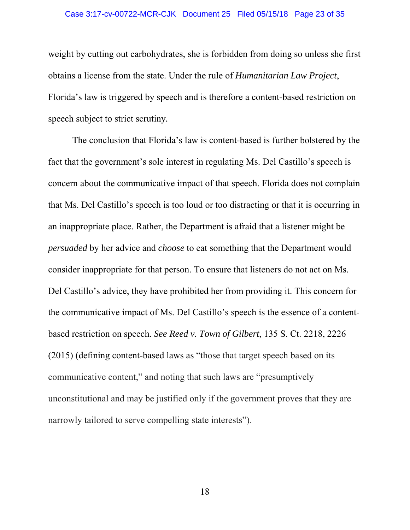#### Case 3:17-cv-00722-MCR-CJK Document 25 Filed 05/15/18 Page 23 of 35

weight by cutting out carbohydrates, she is forbidden from doing so unless she first obtains a license from the state. Under the rule of *Humanitarian Law Project*, Florida's law is triggered by speech and is therefore a content-based restriction on speech subject to strict scrutiny*.*

The conclusion that Florida's law is content-based is further bolstered by the fact that the government's sole interest in regulating Ms. Del Castillo's speech is concern about the communicative impact of that speech. Florida does not complain that Ms. Del Castillo's speech is too loud or too distracting or that it is occurring in an inappropriate place. Rather, the Department is afraid that a listener might be *persuaded* by her advice and *choose* to eat something that the Department would consider inappropriate for that person. To ensure that listeners do not act on Ms. Del Castillo's advice, they have prohibited her from providing it. This concern for the communicative impact of Ms. Del Castillo's speech is the essence of a contentbased restriction on speech. *See Reed v. Town of Gilbert*, 135 S. Ct. 2218, 2226 (2015) (defining content-based laws as "those that target speech based on its communicative content," and noting that such laws are "presumptively unconstitutional and may be justified only if the government proves that they are narrowly tailored to serve compelling state interests").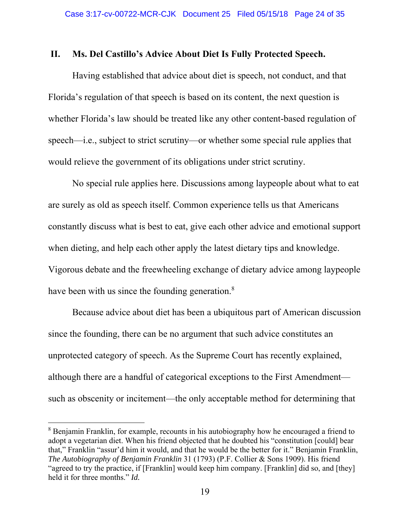## **II. Ms. Del Castillo's Advice About Diet Is Fully Protected Speech.**

Having established that advice about diet is speech, not conduct, and that Florida's regulation of that speech is based on its content, the next question is whether Florida's law should be treated like any other content-based regulation of speech—i.e., subject to strict scrutiny—or whether some special rule applies that would relieve the government of its obligations under strict scrutiny.

No special rule applies here. Discussions among laypeople about what to eat are surely as old as speech itself. Common experience tells us that Americans constantly discuss what is best to eat, give each other advice and emotional support when dieting, and help each other apply the latest dietary tips and knowledge. Vigorous debate and the freewheeling exchange of dietary advice among laypeople have been with us since the founding generation.<sup>8</sup>

Because advice about diet has been a ubiquitous part of American discussion since the founding, there can be no argument that such advice constitutes an unprotected category of speech. As the Supreme Court has recently explained, although there are a handful of categorical exceptions to the First Amendment such as obscenity or incitement—the only acceptable method for determining that

<sup>&</sup>lt;sup>8</sup> Benjamin Franklin, for example, recounts in his autobiography how he encouraged a friend to adopt a vegetarian diet. When his friend objected that he doubted his "constitution [could] bear that," Franklin "assur'd him it would, and that he would be the better for it." Benjamin Franklin, *The Autobiography of Benjamin Franklin* 31 (1793) (P.F. Collier & Sons 1909). His friend "agreed to try the practice, if [Franklin] would keep him company. [Franklin] did so, and [they] held it for three months." *Id.*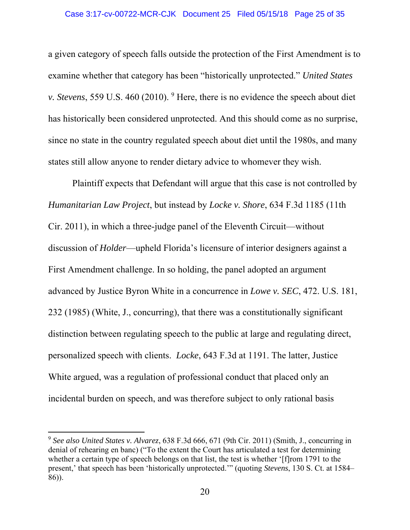a given category of speech falls outside the protection of the First Amendment is to examine whether that category has been "historically unprotected." *United States v. Stevens*, 559 U.S. 460 (2010). <sup>9</sup> Here, there is no evidence the speech about diet has historically been considered unprotected. And this should come as no surprise, since no state in the country regulated speech about diet until the 1980s, and many states still allow anyone to render dietary advice to whomever they wish.

 Plaintiff expects that Defendant will argue that this case is not controlled by *Humanitarian Law Project*, but instead by *Locke v. Shore*, 634 F.3d 1185 (11th Cir. 2011), in which a three-judge panel of the Eleventh Circuit—without discussion of *Holder*—upheld Florida's licensure of interior designers against a First Amendment challenge. In so holding, the panel adopted an argument advanced by Justice Byron White in a concurrence in *Lowe v. SEC*, 472. U.S. 181, 232 (1985) (White, J., concurring), that there was a constitutionally significant distinction between regulating speech to the public at large and regulating direct, personalized speech with clients. *Locke*, 643 F.3d at 1191. The latter, Justice White argued, was a regulation of professional conduct that placed only an incidental burden on speech, and was therefore subject to only rational basis

<sup>9</sup> *See also United States v. Alvarez*, 638 F.3d 666, 671 (9th Cir. 2011) (Smith, J., concurring in denial of rehearing en banc) ("To the extent the Court has articulated a test for determining whether a certain type of speech belongs on that list, the test is whether '[f]rom 1791 to the present,' that speech has been 'historically unprotected.'" (quoting *Stevens*, 130 S. Ct. at 1584– 86)).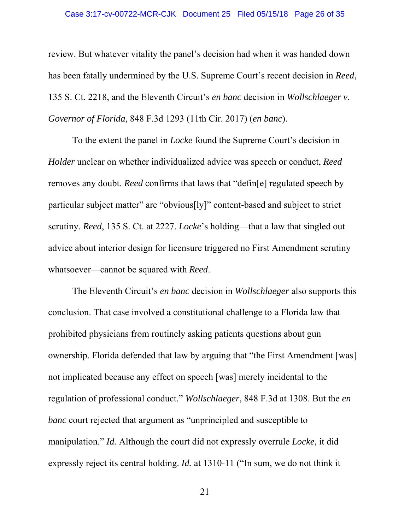#### Case 3:17-cv-00722-MCR-CJK Document 25 Filed 05/15/18 Page 26 of 35

review. But whatever vitality the panel's decision had when it was handed down has been fatally undermined by the U.S. Supreme Court's recent decision in *Reed*, 135 S. Ct. 2218, and the Eleventh Circuit's *en banc* decision in *Wollschlaeger v. Governor of Florida*, 848 F.3d 1293 (11th Cir. 2017) (*en banc*).

 To the extent the panel in *Locke* found the Supreme Court's decision in *Holder* unclear on whether individualized advice was speech or conduct, *Reed* removes any doubt. *Reed* confirms that laws that "defin[e] regulated speech by particular subject matter" are "obvious[ly]" content-based and subject to strict scrutiny. *Reed*, 135 S. Ct. at 2227. *Locke*'s holding—that a law that singled out advice about interior design for licensure triggered no First Amendment scrutiny whatsoever—cannot be squared with *Reed*.

 The Eleventh Circuit's *en banc* decision in *Wollschlaeger* also supports this conclusion. That case involved a constitutional challenge to a Florida law that prohibited physicians from routinely asking patients questions about gun ownership. Florida defended that law by arguing that "the First Amendment [was] not implicated because any effect on speech [was] merely incidental to the regulation of professional conduct." *Wollschlaeger*, 848 F.3d at 1308. But the *en banc* court rejected that argument as "unprincipled and susceptible to manipulation." *Id.* Although the court did not expressly overrule *Locke*, it did expressly reject its central holding. *Id.* at 1310-11 ("In sum, we do not think it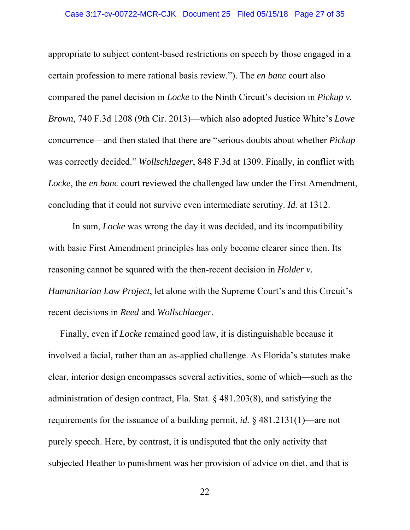#### Case 3:17-cv-00722-MCR-CJK Document 25 Filed 05/15/18 Page 27 of 35

appropriate to subject content-based restrictions on speech by those engaged in a certain profession to mere rational basis review."). The *en banc* court also compared the panel decision in *Locke* to the Ninth Circuit's decision in *Pickup v. Brown*, 740 F.3d 1208 (9th Cir. 2013)—which also adopted Justice White's *Lowe* concurrence—and then stated that there are "serious doubts about whether *Pickup* was correctly decided." *Wollschlaeger*, 848 F.3d at 1309. Finally, in conflict with *Locke*, the *en banc* court reviewed the challenged law under the First Amendment, concluding that it could not survive even intermediate scrutiny. *Id.* at 1312.

 In sum, *Locke* was wrong the day it was decided, and its incompatibility with basic First Amendment principles has only become clearer since then. Its reasoning cannot be squared with the then-recent decision in *Holder v. Humanitarian Law Project*, let alone with the Supreme Court's and this Circuit's recent decisions in *Reed* and *Wollschlaeger*.

Finally, even if *Locke* remained good law, it is distinguishable because it involved a facial, rather than an as-applied challenge. As Florida's statutes make clear, interior design encompasses several activities, some of which—such as the administration of design contract, Fla. Stat. § 481.203(8), and satisfying the requirements for the issuance of a building permit, *id.* § 481.2131(1)—are not purely speech. Here, by contrast, it is undisputed that the only activity that subjected Heather to punishment was her provision of advice on diet, and that is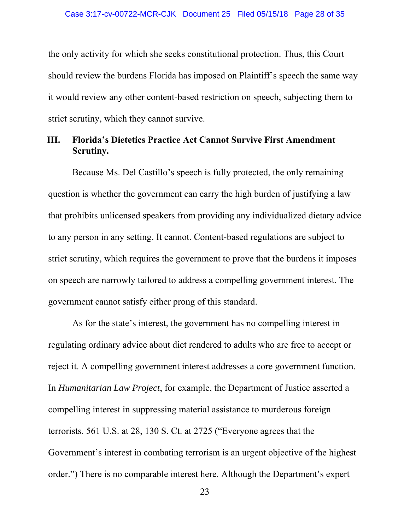the only activity for which she seeks constitutional protection. Thus, this Court should review the burdens Florida has imposed on Plaintiff's speech the same way it would review any other content-based restriction on speech, subjecting them to strict scrutiny, which they cannot survive.

## **III. Florida's Dietetics Practice Act Cannot Survive First Amendment Scrutiny.**

Because Ms. Del Castillo's speech is fully protected, the only remaining question is whether the government can carry the high burden of justifying a law that prohibits unlicensed speakers from providing any individualized dietary advice to any person in any setting. It cannot. Content-based regulations are subject to strict scrutiny, which requires the government to prove that the burdens it imposes on speech are narrowly tailored to address a compelling government interest. The government cannot satisfy either prong of this standard.

As for the state's interest, the government has no compelling interest in regulating ordinary advice about diet rendered to adults who are free to accept or reject it. A compelling government interest addresses a core government function. In *Humanitarian Law Project*, for example, the Department of Justice asserted a compelling interest in suppressing material assistance to murderous foreign terrorists. 561 U.S. at 28, 130 S. Ct. at 2725 ("Everyone agrees that the Government's interest in combating terrorism is an urgent objective of the highest order.") There is no comparable interest here. Although the Department's expert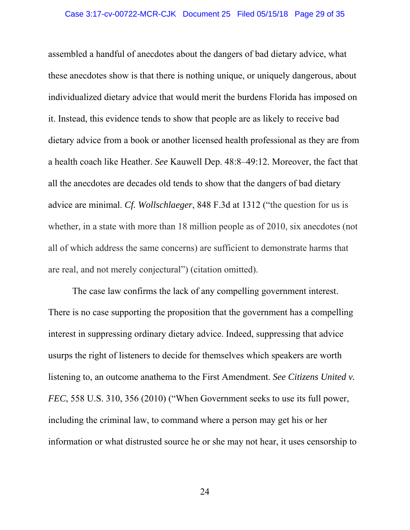assembled a handful of anecdotes about the dangers of bad dietary advice, what these anecdotes show is that there is nothing unique, or uniquely dangerous, about individualized dietary advice that would merit the burdens Florida has imposed on it. Instead, this evidence tends to show that people are as likely to receive bad dietary advice from a book or another licensed health professional as they are from a health coach like Heather. *See* Kauwell Dep. 48:8–49:12. Moreover, the fact that all the anecdotes are decades old tends to show that the dangers of bad dietary advice are minimal. *Cf. Wollschlaeger*, 848 F.3d at 1312 ("the question for us is whether, in a state with more than 18 million people as of 2010, six anecdotes (not all of which address the same concerns) are sufficient to demonstrate harms that are real, and not merely conjectural") (citation omitted).

The case law confirms the lack of any compelling government interest. There is no case supporting the proposition that the government has a compelling interest in suppressing ordinary dietary advice. Indeed, suppressing that advice usurps the right of listeners to decide for themselves which speakers are worth listening to, an outcome anathema to the First Amendment. *See Citizens United v. FEC*, 558 U.S. 310, 356 (2010) ("When Government seeks to use its full power, including the criminal law, to command where a person may get his or her information or what distrusted source he or she may not hear, it uses censorship to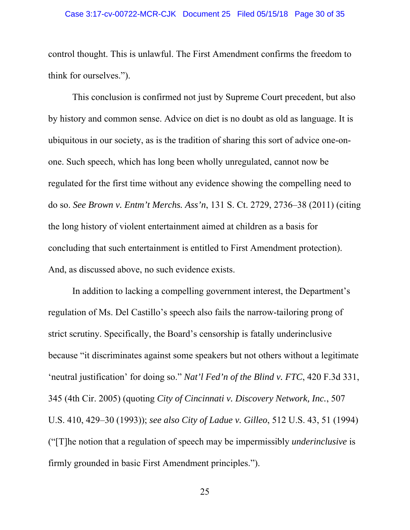control thought. This is unlawful. The First Amendment confirms the freedom to think for ourselves.").

This conclusion is confirmed not just by Supreme Court precedent, but also by history and common sense. Advice on diet is no doubt as old as language. It is ubiquitous in our society, as is the tradition of sharing this sort of advice one-onone. Such speech, which has long been wholly unregulated, cannot now be regulated for the first time without any evidence showing the compelling need to do so. *See Brown v. Entm't Merchs. Ass'n*, 131 S. Ct. 2729, 2736–38 (2011) (citing the long history of violent entertainment aimed at children as a basis for concluding that such entertainment is entitled to First Amendment protection). And, as discussed above, no such evidence exists.

In addition to lacking a compelling government interest, the Department's regulation of Ms. Del Castillo's speech also fails the narrow-tailoring prong of strict scrutiny. Specifically, the Board's censorship is fatally underinclusive because "it discriminates against some speakers but not others without a legitimate 'neutral justification' for doing so." *Nat'l Fed'n of the Blind v. FTC*, 420 F.3d 331, 345 (4th Cir. 2005) (quoting *City of Cincinnati v. Discovery Network, Inc.*, 507 U.S. 410, 429–30 (1993)); *see also City of Ladue v. Gilleo*, 512 U.S. 43, 51 (1994) ("[T]he notion that a regulation of speech may be impermissibly *underinclusive* is firmly grounded in basic First Amendment principles.").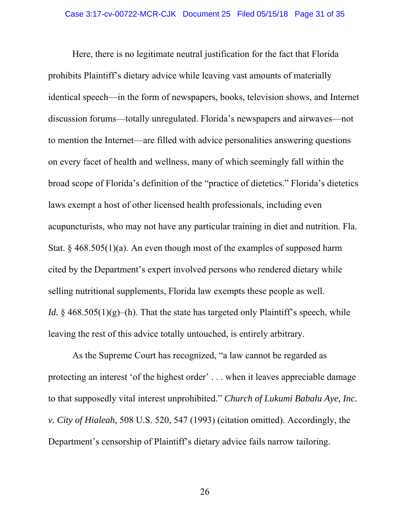Here, there is no legitimate neutral justification for the fact that Florida prohibits Plaintiff's dietary advice while leaving vast amounts of materially identical speech—in the form of newspapers, books, television shows, and Internet discussion forums—totally unregulated. Florida's newspapers and airwaves—not to mention the Internet—are filled with advice personalities answering questions on every facet of health and wellness, many of which seemingly fall within the broad scope of Florida's definition of the "practice of dietetics." Florida's dietetics laws exempt a host of other licensed health professionals, including even acupuncturists, who may not have any particular training in diet and nutrition. Fla. Stat. §  $468.505(1)(a)$ . An even though most of the examples of supposed harm cited by the Department's expert involved persons who rendered dietary while selling nutritional supplements, Florida law exempts these people as well. *Id.*  $\S$  468.505(1)(g)–(h). That the state has targeted only Plaintiff's speech, while leaving the rest of this advice totally untouched, is entirely arbitrary.

As the Supreme Court has recognized, "a law cannot be regarded as protecting an interest 'of the highest order' . . . when it leaves appreciable damage to that supposedly vital interest unprohibited." *Church of Lukumi Babalu Aye, Inc. v. City of Hialeah*, 508 U.S. 520, 547 (1993) (citation omitted). Accordingly, the Department's censorship of Plaintiff's dietary advice fails narrow tailoring.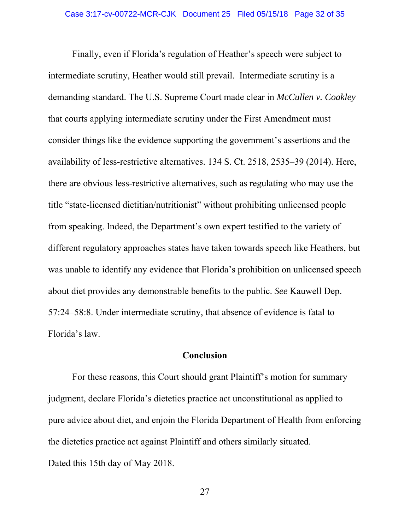Finally, even if Florida's regulation of Heather's speech were subject to intermediate scrutiny, Heather would still prevail. Intermediate scrutiny is a demanding standard. The U.S. Supreme Court made clear in *McCullen v. Coakley*  that courts applying intermediate scrutiny under the First Amendment must consider things like the evidence supporting the government's assertions and the availability of less-restrictive alternatives. 134 S. Ct. 2518, 2535–39 (2014). Here, there are obvious less-restrictive alternatives, such as regulating who may use the title "state-licensed dietitian/nutritionist" without prohibiting unlicensed people from speaking. Indeed, the Department's own expert testified to the variety of different regulatory approaches states have taken towards speech like Heathers, but was unable to identify any evidence that Florida's prohibition on unlicensed speech about diet provides any demonstrable benefits to the public. *See* Kauwell Dep. 57:24–58:8. Under intermediate scrutiny, that absence of evidence is fatal to Florida's law.

## **Conclusion**

For these reasons, this Court should grant Plaintiff's motion for summary judgment, declare Florida's dietetics practice act unconstitutional as applied to pure advice about diet, and enjoin the Florida Department of Health from enforcing the dietetics practice act against Plaintiff and others similarly situated. Dated this 15th day of May 2018.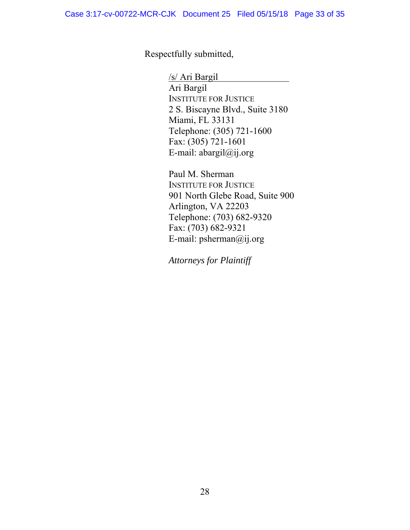Respectfully submitted,

/s/ Ari Bargil Ari Bargil INSTITUTE FOR JUSTICE 2 S. Biscayne Blvd., Suite 3180 Miami, FL 33131 Telephone: (305) 721-1600 Fax: (305) 721-1601 E-mail: abargil@ij.org

Paul M. Sherman INSTITUTE FOR JUSTICE 901 North Glebe Road, Suite 900 Arlington, VA 22203 Telephone: (703) 682-9320 Fax: (703) 682-9321 E-mail: psherman@ij.org

*Attorneys for Plaintiff*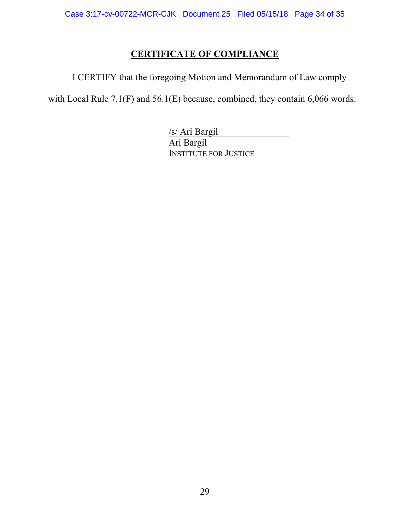# **CERTIFICATE OF COMPLIANCE**

I CERTIFY that the foregoing Motion and Memorandum of Law comply

with Local Rule 7.1(F) and 56.1(E) because, combined, they contain 6,066 words.

/s/ Ari Bargil Ari Bargil INSTITUTE FOR JUSTICE